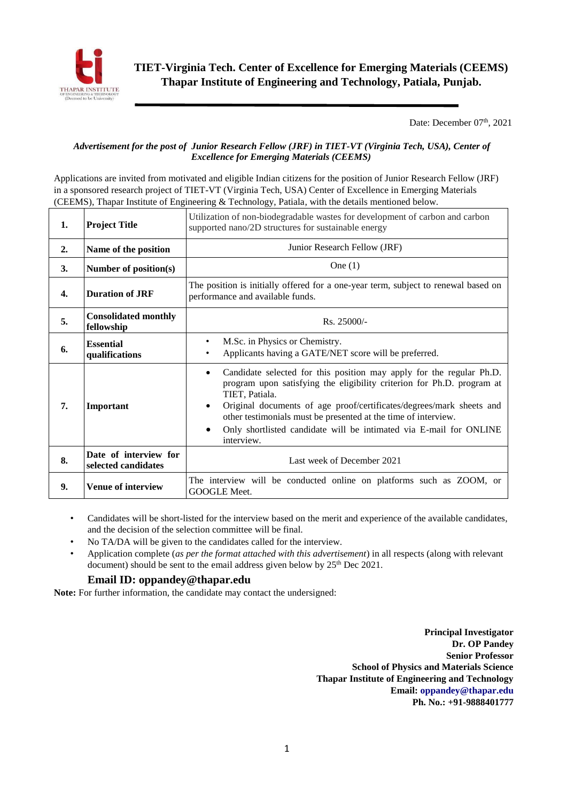

Date: December  $07<sup>th</sup>$ , 2021

## *Advertisement for the post of Junior Research Fellow (JRF) in TIET-VT (Virginia Tech, USA), Center of Excellence for Emerging Materials (CEEMS)*

Applications are invited from motivated and eligible Indian citizens for the position of Junior Research Fellow (JRF) in a sponsored research project of TIET-VT (Virginia Tech, USA) Center of Excellence in Emerging Materials (CEEMS), Thapar Institute of Engineering & Technology, Patiala, with the details mentioned below.

| 1. | <b>Project Title</b>                         | Utilization of non-biodegradable wastes for development of carbon and carbon<br>supported nano/2D structures for sustainable energy                                                                                                                                                                                                                                                                                           |  |  |  |  |  |  |
|----|----------------------------------------------|-------------------------------------------------------------------------------------------------------------------------------------------------------------------------------------------------------------------------------------------------------------------------------------------------------------------------------------------------------------------------------------------------------------------------------|--|--|--|--|--|--|
| 2. | Name of the position                         | Junior Research Fellow (JRF)                                                                                                                                                                                                                                                                                                                                                                                                  |  |  |  |  |  |  |
| 3. | Number of position(s)                        | One $(1)$                                                                                                                                                                                                                                                                                                                                                                                                                     |  |  |  |  |  |  |
| 4. | <b>Duration of JRF</b>                       | The position is initially offered for a one-year term, subject to renewal based on<br>performance and available funds.                                                                                                                                                                                                                                                                                                        |  |  |  |  |  |  |
| 5. | <b>Consolidated monthly</b><br>fellowship    | Rs. 25000/-                                                                                                                                                                                                                                                                                                                                                                                                                   |  |  |  |  |  |  |
| 6. | <b>Essential</b><br>qualifications           | M.Sc. in Physics or Chemistry.<br>$\bullet$<br>Applicants having a GATE/NET score will be preferred.                                                                                                                                                                                                                                                                                                                          |  |  |  |  |  |  |
| 7. | Important                                    | Candidate selected for this position may apply for the regular Ph.D.<br>$\bullet$<br>program upon satisfying the eligibility criterion for Ph.D. program at<br>TIET, Patiala.<br>Original documents of age proof/certificates/degrees/mark sheets and<br>$\bullet$<br>other testimonials must be presented at the time of interview.<br>Only shortlisted candidate will be intimated via E-mail for ONLINE<br>٠<br>interview. |  |  |  |  |  |  |
| 8. | Date of interview for<br>selected candidates | Last week of December 2021                                                                                                                                                                                                                                                                                                                                                                                                    |  |  |  |  |  |  |
| 9. | <b>Venue of interview</b>                    | The interview will be conducted online on platforms such as ZOOM, or<br>GOOGLE Meet.                                                                                                                                                                                                                                                                                                                                          |  |  |  |  |  |  |

- Candidates will be short-listed for the interview based on the merit and experience of the available candidates, and the decision of the selection committee will be final.
- No TA/DA will be given to the candidates called for the interview.
- Application complete (*as per the format attached with this advertisement*) in all respects (along with relevant document) should be sent to the email address given below by  $25<sup>th</sup>$  Dec 2021.

## **Email ID: oppandey@thapar.edu**

**Note:** For further information, the candidate may contact the undersigned:

**Principal Investigator Dr. OP Pandey Senior Professor School of Physics and Materials Science Thapar Institute of Engineering and Technology Email: oppandey@thapar.edu Ph. No.: +91-9888401777**